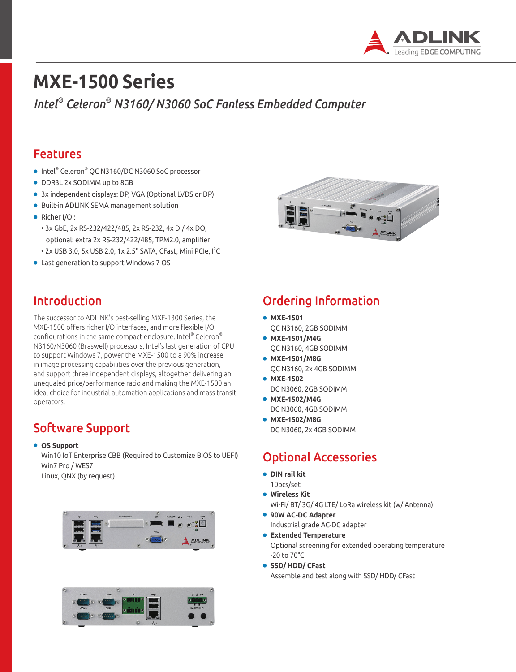

# **MXE-1500 Series**

*Intel® Celeron® N3160/ N3060 SoC Fanless Embedded Computer*

### Features

- Intel® Celeron® QC N3160/DC N3060 SoC processor
- DDR3L 2x SODIMM up to 8GB
- 3x independent displays: DP, VGA (Optional LVDS or DP)
- Built-in ADLINK SEMA management solution
- Richer I/O:
	- 3x GbE, 2x RS-232/422/485, 2x RS-232, 4x DI/ 4x DO, optional: extra 2x RS-232/422/485, TPM2.0, amplifier
	- $\cdot$  2x USB 3.0, 5x USB 2.0, 1x 2.5" SATA, CFast, Mini PCIe, I<sup>2</sup>C
- Last generation to support Windows 7 OS



### Introduction

The successor to ADLINK's best-selling MXE-1300 Series, the MXE-1500 offers richer I/O interfaces, and more flexible I/O configurations in the same compact enclosure. Intel® Celeron® N3160/N3060 (Braswell) processors, Intel's last generation of CPU to support Windows 7, power the MXE-1500 to a 90% increase in image processing capabilities over the previous generation, and support three independent displays, altogether delivering an unequaled price/performance ratio and making the MXE-1500 an ideal choice for industrial automation applications and mass transit operators.

# Software Support

#### ● **OS Support**

Win10 IoT Enterprise CBB (Required to Customize BIOS to UEFI) Win7 Pro / WES7 Linux, QNX (by request)





# Ordering Information

- **MXE-1501** QC N3160, 2GB SODIMM
- **MXE-1501/M4G** QC N3160, 4GB SODIMM
- **MXE-1501/M8G** QC N3160, 2x 4GB SODIMM
- **MXE-1502** DC N3060, 2GB SODIMM
- **MXE-1502/M4G** DC N3060, 4GB SODIMM
- **MXE-1502/M8G** DC N3060, 2x 4GB SODIMM

# Optional Accessories

- **DIN rail kit**
- 10pcs/set ● **Wireless Kit**
	- Wi-Fi/ BT/ 3G/ 4G LTE/ LoRa wireless kit (w/ Antenna)
- **90W AC-DC Adapter** Industrial grade AC-DC adapter
- **Extended Temperature**  Optional screening for extended operating temperature -20 to 70°C
- **SSD/ HDD/ CFast**

Assemble and test along with SSD/ HDD/ CFast